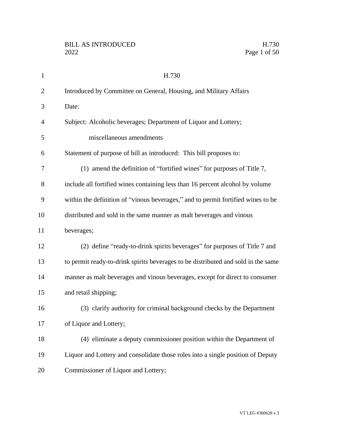| $\mathbf{1}$   | H.730                                                                             |
|----------------|-----------------------------------------------------------------------------------|
| $\overline{2}$ | Introduced by Committee on General, Housing, and Military Affairs                 |
| 3              | Date:                                                                             |
| $\overline{4}$ | Subject: Alcoholic beverages; Department of Liquor and Lottery;                   |
| 5              | miscellaneous amendments                                                          |
| 6              | Statement of purpose of bill as introduced: This bill proposes to:                |
| 7              | (1) amend the definition of "fortified wines" for purposes of Title 7,            |
| 8              | include all fortified wines containing less than 16 percent alcohol by volume     |
| 9              | within the definition of "vinous beverages," and to permit fortified wines to be  |
| 10             | distributed and sold in the same manner as malt beverages and vinous              |
| 11             | beverages;                                                                        |
| 12             | (2) define "ready-to-drink spirits beverages" for purposes of Title 7 and         |
| 13             | to permit ready-to-drink spirits beverages to be distributed and sold in the same |
| 14             | manner as malt beverages and vinous beverages, except for direct to consumer      |
| 15             | and retail shipping;                                                              |
| 16             | (3) clarify authority for criminal background checks by the Department            |
| 17             | of Liquor and Lottery;                                                            |
| 18             | (4) eliminate a deputy commissioner position within the Department of             |
| 19             | Liquor and Lottery and consolidate those roles into a single position of Deputy   |
| 20             | Commissioner of Liquor and Lottery;                                               |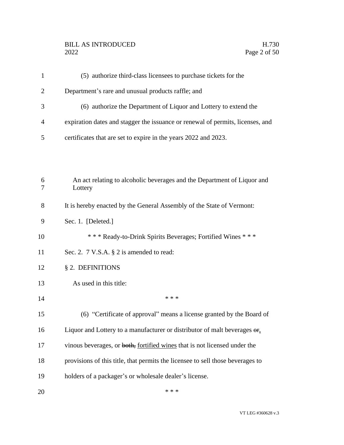# BILL AS INTRODUCED H.730<br>2022 Page 2 of 50

|   | (5) authorize third-class licensees to purchase tickets for the                |
|---|--------------------------------------------------------------------------------|
|   | Department's rare and unusual products raffle; and                             |
|   | (6) authorize the Department of Liquor and Lottery to extend the               |
| 4 | expiration dates and stagger the issuance or renewal of permits, licenses, and |
|   | certificates that are set to expire in the years 2022 and 2023.                |

| 6<br>7 | An act relating to alcoholic beverages and the Department of Liquor and<br>Lottery            |
|--------|-----------------------------------------------------------------------------------------------|
| 8      | It is hereby enacted by the General Assembly of the State of Vermont:                         |
| 9      | Sec. 1. [Deleted.]                                                                            |
| 10     | *** Ready-to-Drink Spirits Beverages; Fortified Wines ***                                     |
| 11     | Sec. 2. 7 V.S.A. § 2 is amended to read:                                                      |
| 12     | § 2. DEFINITIONS                                                                              |
| 13     | As used in this title:                                                                        |
| 14     | * * *                                                                                         |
| 15     | (6) "Certificate of approval" means a license granted by the Board of                         |
| 16     | Liquor and Lottery to a manufacturer or distributor of malt beverages $\Theta$ <sub>1</sub> . |
| 17     | vinous beverages, or both, fortified wines that is not licensed under the                     |
| 18     | provisions of this title, that permits the licensee to sell those beverages to                |
| 19     | holders of a packager's or wholesale dealer's license.                                        |
| 20     | * * *                                                                                         |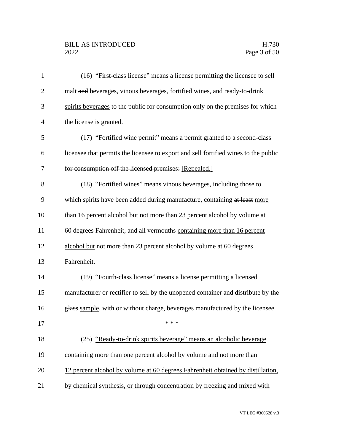## BILL AS INTRODUCED H.730<br>2022 Page 3 of 50

| $\mathbf{1}$   | (16) "First-class license" means a license permitting the licensee to sell          |
|----------------|-------------------------------------------------------------------------------------|
| $\overline{2}$ | malt and beverages, vinous beverages, fortified wines, and ready-to-drink           |
| 3              | spirits beverages to the public for consumption only on the premises for which      |
| $\overline{4}$ | the license is granted.                                                             |
| 5              | (17) "Fortified wine permit" means a permit granted to a second-class               |
| 6              | licensee that permits the licensee to export and sell fortified wines to the public |
| 7              | for consumption off the licensed premises: [Repealed.]                              |
| 8              | (18) "Fortified wines" means vinous beverages, including those to                   |
| 9              | which spirits have been added during manufacture, containing at least more          |
| 10             | than 16 percent alcohol but not more than 23 percent alcohol by volume at           |
| 11             | 60 degrees Fahrenheit, and all vermouths containing more than 16 percent            |
| 12             | alcohol but not more than 23 percent alcohol by volume at 60 degrees                |
| 13             | Fahrenheit.                                                                         |
| 14             | (19) "Fourth-class license" means a license permitting a licensed                   |
| 15             | manufacturer or rectifier to sell by the unopened container and distribute by the   |
| 16             | glass sample, with or without charge, beverages manufactured by the licensee.       |
| 17             |                                                                                     |
| 18             | (25) "Ready-to-drink spirits beverage" means an alcoholic beverage                  |
| 19             | containing more than one percent alcohol by volume and not more than                |
| 20             | 12 percent alcohol by volume at 60 degrees Fahrenheit obtained by distillation,     |
| 21             | by chemical synthesis, or through concentration by freezing and mixed with          |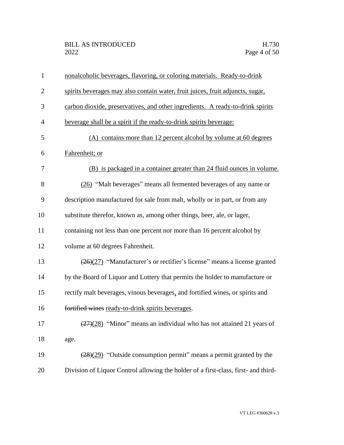| $\mathbf{1}$   | nonalcoholic beverages, flavoring, or coloring materials. Ready-to-drink                     |
|----------------|----------------------------------------------------------------------------------------------|
| $\overline{2}$ | spirits beverages may also contain water, fruit juices, fruit adjuncts, sugar,               |
| 3              | carbon dioxide, preservatives, and other ingredients. A ready-to-drink spirits               |
| $\overline{4}$ | beverage shall be a spirit if the ready-to-drink spirits beverage:                           |
| 5              | (A) contains more than 12 percent alcohol by volume at 60 degrees                            |
| 6              | Fahrenheit; or                                                                               |
| 7              | (B) is packaged in a container greater than 24 fluid ounces in volume.                       |
| 8              | (26) "Malt beverages" means all fermented beverages of any name or                           |
| 9              | description manufactured for sale from malt, wholly or in part, or from any                  |
| 10             | substitute therefor, known as, among other things, beer, ale, or lager,                      |
| 11             | containing not less than one percent nor more than 16 percent alcohol by                     |
| 12             | volume at 60 degrees Fahrenheit.                                                             |
| 13             | $\left(\frac{26}{27}\right)$ "Manufacturer's or rectifier's license" means a license granted |
| 14             | by the Board of Liquor and Lottery that permits the holder to manufacture or                 |
| 15             | rectify malt beverages, vinous beverages, and fortified wines, or spirits and                |
| 16             | fortified wines ready-to-drink spirits beverages.                                            |
| 17             | $\frac{(27)(28)}{(27)(28)}$ "Minor" means an individual who has not attained 21 years of     |
| 18             | age.                                                                                         |
| 19             | $\frac{(28)(29)}{28}$ "Outside consumption permit" means a permit granted by the             |
| 20             | Division of Liquor Control allowing the holder of a first-class, first- and third-           |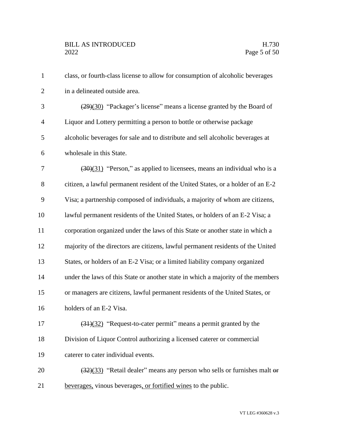| $\mathbf{1}$   | class, or fourth-class license to allow for consumption of alcoholic beverages               |
|----------------|----------------------------------------------------------------------------------------------|
| $\overline{2}$ | in a delineated outside area.                                                                |
| 3              | $(29)(30)$ "Packager's license" means a license granted by the Board of                      |
| $\overline{4}$ | Liquor and Lottery permitting a person to bottle or otherwise package                        |
| 5              | alcoholic beverages for sale and to distribute and sell alcoholic beverages at               |
| 6              | wholesale in this State.                                                                     |
| 7              | $\left(\frac{30}{31}\right)$ "Person," as applied to licensees, means an individual who is a |
| $8\,$          | citizen, a lawful permanent resident of the United States, or a holder of an E-2             |
| 9              | Visa; a partnership composed of individuals, a majority of whom are citizens,                |
| 10             | lawful permanent residents of the United States, or holders of an E-2 Visa; a                |
| 11             | corporation organized under the laws of this State or another state in which a               |
| 12             | majority of the directors are citizens, lawful permanent residents of the United             |
| 13             | States, or holders of an E-2 Visa; or a limited liability company organized                  |
| 14             | under the laws of this State or another state in which a majority of the members             |
| 15             | or managers are citizens, lawful permanent residents of the United States, or                |
| 16             | holders of an E-2 Visa.                                                                      |
| 17             | (31)(32) "Request-to-cater permit" means a permit granted by the                             |
| 18             | Division of Liquor Control authorizing a licensed caterer or commercial                      |
| 19             | caterer to cater individual events.                                                          |
| 20             | $\left(\frac{32}{33}\right)$ "Retail dealer" means any person who sells or furnishes malt or |
| 21             | beverages, vinous beverages, or fortified wines to the public.                               |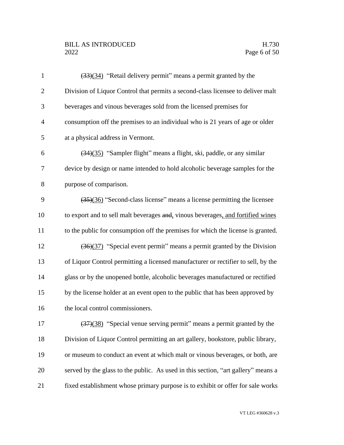## BILL AS INTRODUCED H.730<br>2022 Page 6 of 50

| $\mathbf{1}$   | (33)(34) "Retail delivery permit" means a permit granted by the                             |
|----------------|---------------------------------------------------------------------------------------------|
| $\overline{2}$ | Division of Liquor Control that permits a second-class licensee to deliver malt             |
| 3              | beverages and vinous beverages sold from the licensed premises for                          |
| $\overline{4}$ | consumption off the premises to an individual who is 21 years of age or older               |
| 5              | at a physical address in Vermont.                                                           |
| 6              | (34)(35) "Sampler flight" means a flight, ski, paddle, or any similar                       |
| 7              | device by design or name intended to hold alcoholic beverage samples for the                |
| 8              | purpose of comparison.                                                                      |
| 9              | $\left(\frac{35}{36}\right)$ "Second-class license" means a license permitting the licensee |
| 10             | to export and to sell malt beverages and, vinous beverages, and fortified wines             |
| 11             | to the public for consumption off the premises for which the license is granted.            |
| 12             | (36)(37) "Special event permit" means a permit granted by the Division                      |
| 13             | of Liquor Control permitting a licensed manufacturer or rectifier to sell, by the           |
| 14             | glass or by the unopened bottle, alcoholic beverages manufactured or rectified              |
| 15             | by the license holder at an event open to the public that has been approved by              |
| 16             | the local control commissioners.                                                            |
| 17             | (37)(38) "Special venue serving permit" means a permit granted by the                       |
| 18             | Division of Liquor Control permitting an art gallery, bookstore, public library,            |
| 19             | or museum to conduct an event at which malt or vinous beverages, or both, are               |
| 20             | served by the glass to the public. As used in this section, "art gallery" means a           |
| 21             | fixed establishment whose primary purpose is to exhibit or offer for sale works             |
|                |                                                                                             |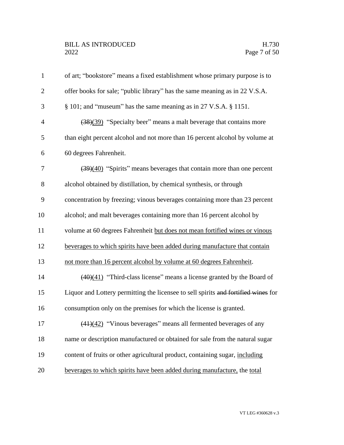| $\mathbf{1}$   | of art; "bookstore" means a fixed establishment whose primary purpose is to               |
|----------------|-------------------------------------------------------------------------------------------|
| $\overline{2}$ | offer books for sale; "public library" has the same meaning as in 22 V.S.A.               |
| 3              | § 101; and "museum" has the same meaning as in 27 V.S.A. § 1151.                          |
| $\overline{4}$ | (38)(39) "Specialty beer" means a malt beverage that contains more                        |
| 5              | than eight percent alcohol and not more than 16 percent alcohol by volume at              |
| 6              | 60 degrees Fahrenheit.                                                                    |
| 7              | $\left(\frac{39}{40}\right)$ "Spirits" means beverages that contain more than one percent |
| $8\,$          | alcohol obtained by distillation, by chemical synthesis, or through                       |
| 9              | concentration by freezing; vinous beverages containing more than 23 percent               |
| 10             | alcohol; and malt beverages containing more than 16 percent alcohol by                    |
| 11             | volume at 60 degrees Fahrenheit but does not mean fortified wines or vinous               |
| 12             | beverages to which spirits have been added during manufacture that contain                |
| 13             | not more than 16 percent alcohol by volume at 60 degrees Fahrenheit.                      |
| 14             | $\frac{(40)(41)}{2}$ "Third-class license" means a license granted by the Board of        |
| 15             | Liquor and Lottery permitting the licensee to sell spirits and fortified wines for        |
| 16             | consumption only on the premises for which the license is granted.                        |
| 17             | $\frac{(41)(42)}{2}$ "Vinous beverages" means all fermented beverages of any              |
| 18             | name or description manufactured or obtained for sale from the natural sugar              |
| 19             | content of fruits or other agricultural product, containing sugar, including              |
| 20             | beverages to which spirits have been added during manufacture, the total                  |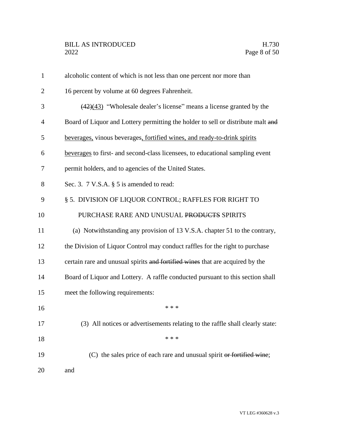| $\mathbf{1}$   | alcoholic content of which is not less than one percent nor more than                   |
|----------------|-----------------------------------------------------------------------------------------|
| $\overline{2}$ | 16 percent by volume at 60 degrees Fahrenheit.                                          |
| 3              | $\frac{(42)(43)}{(42)(43)}$ "Wholesale dealer's license" means a license granted by the |
| $\overline{4}$ | Board of Liquor and Lottery permitting the holder to sell or distribute malt and        |
| 5              | beverages, vinous beverages, fortified wines, and ready-to-drink spirits                |
| 6              | beverages to first- and second-class licensees, to educational sampling event           |
| 7              | permit holders, and to agencies of the United States.                                   |
| 8              | Sec. 3. 7 V.S.A. § 5 is amended to read:                                                |
| 9              | § 5. DIVISION OF LIQUOR CONTROL; RAFFLES FOR RIGHT TO                                   |
| 10             | PURCHASE RARE AND UNUSUAL PRODUCTS SPIRITS                                              |
| 11             | (a) Notwithstanding any provision of 13 V.S.A. chapter 51 to the contrary,              |
| 12             | the Division of Liquor Control may conduct raffles for the right to purchase            |
| 13             | certain rare and unusual spirits and fortified wines that are acquired by the           |
| 14             | Board of Liquor and Lottery. A raffle conducted pursuant to this section shall          |
| 15             | meet the following requirements:                                                        |
| 16             | * * *                                                                                   |
| 17             | (3) All notices or advertisements relating to the raffle shall clearly state:           |
| 18             | * * *                                                                                   |
| 19             | (C) the sales price of each rare and unusual spirit or fortified wine;                  |
| 20             | and                                                                                     |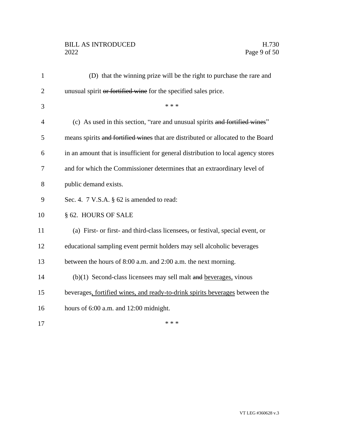## BILL AS INTRODUCED H.730<br>2022 Page 9 of 50

| $\mathbf{1}$   | (D) that the winning prize will be the right to purchase the rare and             |
|----------------|-----------------------------------------------------------------------------------|
| $\overline{2}$ | unusual spirit or fortified wine for the specified sales price.                   |
| 3              | * * *                                                                             |
| $\overline{4}$ | (c) As used in this section, "rare and unusual spirits and fortified wines"       |
| 5              | means spirits and fortified wines that are distributed or allocated to the Board  |
| 6              | in an amount that is insufficient for general distribution to local agency stores |
| 7              | and for which the Commissioner determines that an extraordinary level of          |
| 8              | public demand exists.                                                             |
| 9              | Sec. 4. $7$ V.S.A. $\S$ 62 is amended to read:                                    |
| 10             | § 62. HOURS OF SALE                                                               |
| 11             | (a) First- or first- and third-class licensees, or festival, special event, or    |
| 12             | educational sampling event permit holders may sell alcoholic beverages            |
| 13             | between the hours of 8:00 a.m. and 2:00 a.m. the next morning.                    |
| 14             | $(b)(1)$ Second-class licensees may sell malt and beverages, vinous               |
| 15             | beverages, fortified wines, and ready-to-drink spirits beverages between the      |
| 16             | hours of 6:00 a.m. and 12:00 midnight.                                            |
| 17             | * * *                                                                             |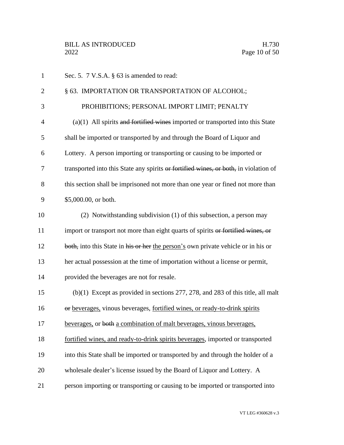| $\mathbf{1}$   | Sec. 5. 7 V.S.A. § 63 is amended to read:                                            |
|----------------|--------------------------------------------------------------------------------------|
| $\overline{2}$ | § 63. IMPORTATION OR TRANSPORTATION OF ALCOHOL;                                      |
| 3              | PROHIBITIONS; PERSONAL IMPORT LIMIT; PENALTY                                         |
| 4              | $(a)(1)$ All spirits and fortified wines imported or transported into this State     |
| 5              | shall be imported or transported by and through the Board of Liquor and              |
| 6              | Lottery. A person importing or transporting or causing to be imported or             |
| 7              | transported into this State any spirits or fortified wines, or both, in violation of |
| 8              | this section shall be imprisoned not more than one year or fined not more than       |
| 9              | \$5,000.00, or both.                                                                 |
| 10             | (2) Notwithstanding subdivision (1) of this subsection, a person may                 |
| 11             | import or transport not more than eight quarts of spirits or fortified wines, or     |
| 12             | both, into this State in his or her the person's own private vehicle or in his or    |
| 13             | her actual possession at the time of importation without a license or permit,        |
| 14             | provided the beverages are not for resale.                                           |
| 15             | $(b)(1)$ Except as provided in sections 277, 278, and 283 of this title, all malt    |
| 16             | or beverages, vinous beverages, fortified wines, or ready-to-drink spirits           |
| 17             | beverages, or both a combination of malt beverages, vinous beverages,                |
| 18             | fortified wines, and ready-to-drink spirits beverages, imported or transported       |
| 19             | into this State shall be imported or transported by and through the holder of a      |
| 20             | wholesale dealer's license issued by the Board of Liquor and Lottery. A              |
| 21             | person importing or transporting or causing to be imported or transported into       |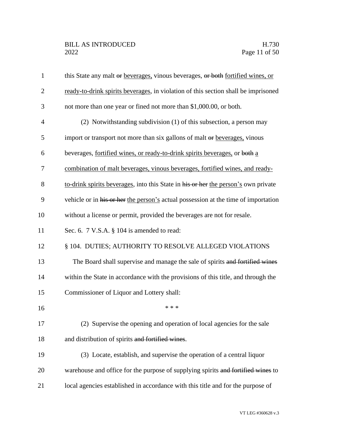| $\mathbf{1}$   | this State any malt or beverages, vinous beverages, or both fortified wines, or    |
|----------------|------------------------------------------------------------------------------------|
| $\overline{2}$ | ready-to-drink spirits beverages, in violation of this section shall be imprisoned |
| 3              | not more than one year or fined not more than \$1,000.00, or both.                 |
| $\overline{4}$ | (2) Notwithstanding subdivision (1) of this subsection, a person may               |
| 5              | import or transport not more than six gallons of malt or beverages, vinous         |
| 6              | beverages, fortified wines, or ready-to-drink spirits beverages, or both a         |
| 7              | combination of malt beverages, vinous beverages, fortified wines, and ready-       |
| 8              | to-drink spirits beverages, into this State in his or her the person's own private |
| 9              | vehicle or in his or her the person's actual possession at the time of importation |
| 10             | without a license or permit, provided the beverages are not for resale.            |
| 11             | Sec. 6. $7$ V.S.A. $\S$ 104 is amended to read:                                    |
| 12             | § 104. DUTIES; AUTHORITY TO RESOLVE ALLEGED VIOLATIONS                             |
| 13             | The Board shall supervise and manage the sale of spirits and fortified wines       |
| 14             | within the State in accordance with the provisions of this title, and through the  |
| 15             | Commissioner of Liquor and Lottery shall:                                          |
| 16             | * * *                                                                              |
| 17             | (2) Supervise the opening and operation of local agencies for the sale             |
| 18             | and distribution of spirits and fortified wines.                                   |
| 19             | (3) Locate, establish, and supervise the operation of a central liquor             |
| 20             | warehouse and office for the purpose of supplying spirits and fortified wines to   |
| 21             | local agencies established in accordance with this title and for the purpose of    |
|                |                                                                                    |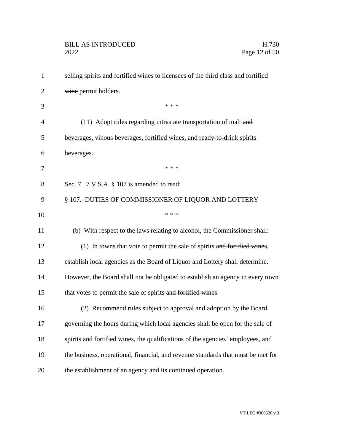| $\mathbf{1}$   | selling spirits and fortified wines to licensees of the third class and fortified |
|----------------|-----------------------------------------------------------------------------------|
| $\overline{2}$ | wine permit holders.                                                              |
| 3              | * * *                                                                             |
| $\overline{4}$ | (11) Adopt rules regarding intrastate transportation of malt and                  |
| 5              | beverages, vinous beverages, fortified wines, and ready-to-drink spirits          |
| 6              | beverages.                                                                        |
| 7              | * * *                                                                             |
| 8              | Sec. 7. $7 \text{ V.S.A. }$ § 107 is amended to read:                             |
| 9              | § 107. DUTIES OF COMMISSIONER OF LIQUOR AND LOTTERY                               |
| 10             | * * *                                                                             |
| 11             | (b) With respect to the laws relating to alcohol, the Commissioner shall:         |
| 12             | (1) In towns that vote to permit the sale of spirits and fortified wines,         |
| 13             | establish local agencies as the Board of Liquor and Lottery shall determine.      |
| 14             | However, the Board shall not be obligated to establish an agency in every town    |
| 15             | that votes to permit the sale of spirits and fortified wines.                     |
| 16             | (2) Recommend rules subject to approval and adoption by the Board                 |
| 17             | governing the hours during which local agencies shall be open for the sale of     |
| 18             | spirits and fortified wines, the qualifications of the agencies' employees, and   |
| 19             | the business, operational, financial, and revenue standards that must be met for  |
| 20             | the establishment of an agency and its continued operation.                       |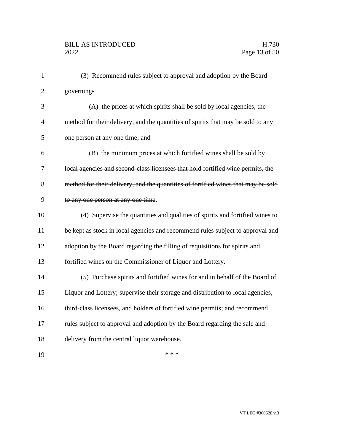| $\mathbf{1}$   | (3) Recommend rules subject to approval and adoption by the Board                 |
|----------------|-----------------------------------------------------------------------------------|
| $\overline{2}$ | governing:                                                                        |
| 3              | $(A)$ the prices at which spirits shall be sold by local agencies, the            |
| $\overline{4}$ | method for their delivery, and the quantities of spirits that may be sold to any  |
| 5              | one person at any one time; and                                                   |
| 6              | (B) the minimum prices at which fortified wines shall be sold by                  |
| 7              | local agencies and second-class licensees that hold fortified wine permits, the   |
| 8              | method for their delivery, and the quantities of fortified wines that may be sold |
| 9              | to any one person at any one time.                                                |
| 10             | (4) Supervise the quantities and qualities of spirits and fortified wines to      |
| 11             | be kept as stock in local agencies and recommend rules subject to approval and    |
| 12             | adoption by the Board regarding the filling of requisitions for spirits and       |
| 13             | fortified wines on the Commissioner of Liquor and Lottery.                        |
| 14             | (5) Purchase spirits and fortified wines for and in behalf of the Board of        |
| 15             | Liquor and Lottery; supervise their storage and distribution to local agencies,   |
| 16             | third-class licensees, and holders of fortified wine permits; and recommend       |
| 17             | rules subject to approval and adoption by the Board regarding the sale and        |
| 18             | delivery from the central liquor warehouse.                                       |
| 19             | * * *                                                                             |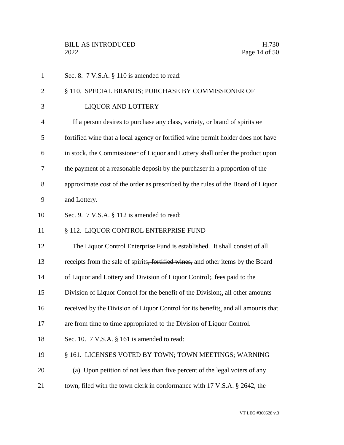| $\mathbf{1}$   | Sec. 8. 7 V.S.A. § 110 is amended to read:                                       |
|----------------|----------------------------------------------------------------------------------|
| $\overline{2}$ | § 110. SPECIAL BRANDS; PURCHASE BY COMMISSIONER OF                               |
| 3              | <b>LIQUOR AND LOTTERY</b>                                                        |
| $\overline{4}$ | If a person desires to purchase any class, variety, or brand of spirits $\theta$ |
| 5              | fortified wine that a local agency or fortified wine permit holder does not have |
| 6              | in stock, the Commissioner of Liquor and Lottery shall order the product upon    |
| 7              | the payment of a reasonable deposit by the purchaser in a proportion of the      |
| 8              | approximate cost of the order as prescribed by the rules of the Board of Liquor  |
| 9              | and Lottery.                                                                     |
| 10             | Sec. 9. $7$ V.S.A. $\S$ 112 is amended to read:                                  |
| 11             | § 112. LIQUOR CONTROL ENTERPRISE FUND                                            |
| 12             | The Liquor Control Enterprise Fund is established. It shall consist of all       |
| 13             | receipts from the sale of spirits, fortified wines, and other items by the Board |
| 14             | of Liquor and Lottery and Division of Liquor Control; fees paid to the           |
| 15             | Division of Liquor Control for the benefit of the Division; all other amounts    |
| 16             | received by the Division of Liquor Control for its benefit; and all amounts that |
| 17             | are from time to time appropriated to the Division of Liquor Control.            |
| 18             | Sec. 10. 7 V.S.A. § 161 is amended to read:                                      |
| 19             | § 161. LICENSES VOTED BY TOWN; TOWN MEETINGS; WARNING                            |
| 20             | (a) Upon petition of not less than five percent of the legal voters of any       |
| 21             | town, filed with the town clerk in conformance with 17 V.S.A. § 2642, the        |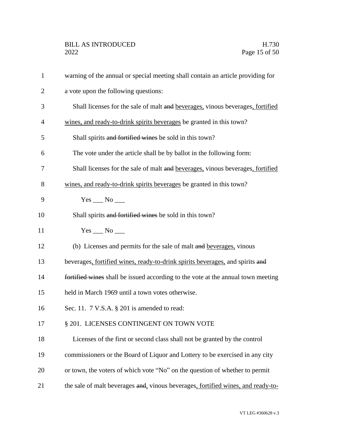| $\mathbf{1}$ | warning of the annual or special meeting shall contain an article providing for  |
|--------------|----------------------------------------------------------------------------------|
| 2            | a vote upon the following questions:                                             |
| 3            | Shall licenses for the sale of malt and beverages, vinous beverages, fortified   |
| 4            | wines, and ready-to-drink spirits beverages be granted in this town?             |
| 5            | Shall spirits and fortified wines be sold in this town?                          |
| 6            | The vote under the article shall be by ballot in the following form:             |
| 7            | Shall licenses for the sale of malt and beverages, vinous beverages, fortified   |
| 8            | wines, and ready-to-drink spirits beverages be granted in this town?             |
| 9            |                                                                                  |
| 10           | Shall spirits and fortified wines be sold in this town?                          |
| 11           | $Yes \_ No \_$                                                                   |
| 12           | (b) Licenses and permits for the sale of malt and beverages, vinous              |
| 13           | beverages, fortified wines, ready-to-drink spirits beverages, and spirits and    |
| 14           | fortified wines shall be issued according to the vote at the annual town meeting |
| 15           | held in March 1969 until a town votes otherwise.                                 |
| 16           | Sec. 11. 7 V.S.A. § 201 is amended to read:                                      |
| 17           | § 201. LICENSES CONTINGENT ON TOWN VOTE                                          |
| 18           | Licenses of the first or second class shall not be granted by the control        |
| 19           | commissioners or the Board of Liquor and Lottery to be exercised in any city     |
| 20           | or town, the voters of which vote "No" on the question of whether to permit      |
| 21           | the sale of malt beverages and, vinous beverages, fortified wines, and ready-to- |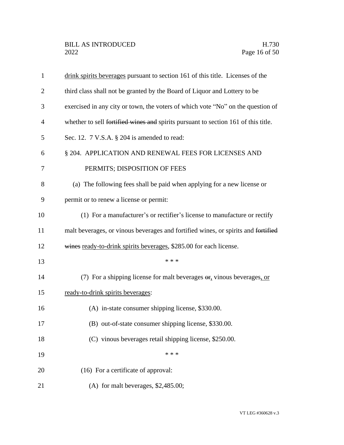| $\mathbf{1}$   | drink spirits beverages pursuant to section 161 of this title. Licenses of the     |
|----------------|------------------------------------------------------------------------------------|
| $\overline{2}$ | third class shall not be granted by the Board of Liquor and Lottery to be          |
| 3              | exercised in any city or town, the voters of which vote "No" on the question of    |
| $\overline{4}$ | whether to sell fortified wines and spirits pursuant to section 161 of this title. |
| 5              | Sec. 12. $7$ V.S.A. $\S$ 204 is amended to read:                                   |
| 6              | § 204. APPLICATION AND RENEWAL FEES FOR LICENSES AND                               |
| 7              | PERMITS; DISPOSITION OF FEES                                                       |
| 8              | (a) The following fees shall be paid when applying for a new license or            |
| 9              | permit or to renew a license or permit:                                            |
| 10             | (1) For a manufacturer's or rectifier's license to manufacture or rectify          |
| 11             | malt beverages, or vinous beverages and fortified wines, or spirits and fortified  |
| 12             | wines ready-to-drink spirits beverages, \$285.00 for each license.                 |
| 13             | * * *                                                                              |
| 14             | (7) For a shipping license for malt beverages $\sigma$ , vinous beverages, or      |
| 15             | ready-to-drink spirits beverages:                                                  |
| 16             | (A) in-state consumer shipping license, \$330.00.                                  |
| 17             | (B) out-of-state consumer shipping license, \$330.00.                              |
| 18             | (C) vinous beverages retail shipping license, \$250.00.                            |
| 19             | * * *                                                                              |
| 20             | (16) For a certificate of approval:                                                |
| 21             | (A) for malt beverages, $$2,485.00;$                                               |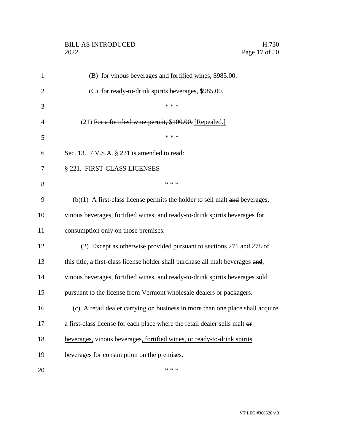| $\mathbf{1}$   | (B) for vinous beverages and fortified wines, \$985.00.                         |
|----------------|---------------------------------------------------------------------------------|
| $\overline{2}$ | (C) for ready-to-drink spirits beverages, \$985.00.                             |
| 3              | * * *                                                                           |
| 4              | (21) For a fortified wine permit, \$100.00. [Repealed.]                         |
| 5              | * * *                                                                           |
| 6              | Sec. 13. 7 V.S.A. § 221 is amended to read:                                     |
| 7              | § 221. FIRST-CLASS LICENSES                                                     |
| 8              | * * *                                                                           |
| 9              | $(b)(1)$ A first-class license permits the holder to sell malt and beverages.   |
| 10             | vinous beverages, fortified wines, and ready-to-drink spirits beverages for     |
| 11             | consumption only on those premises.                                             |
| 12             | (2) Except as otherwise provided pursuant to sections 271 and 278 of            |
| 13             | this title, a first-class license holder shall purchase all malt beverages and, |
| 14             | vinous beverages, fortified wines, and ready-to-drink spirits beverages sold    |
| 15             | pursuant to the license from Vermont wholesale dealers or packagers.            |
| 16             | (c) A retail dealer carrying on business in more than one place shall acquire   |
| 17             | a first-class license for each place where the retail dealer sells malt or      |
| 18             | beverages, vinous beverages, fortified wines, or ready-to-drink spirits         |
| 19             | beverages for consumption on the premises.                                      |
| 20             | * * *                                                                           |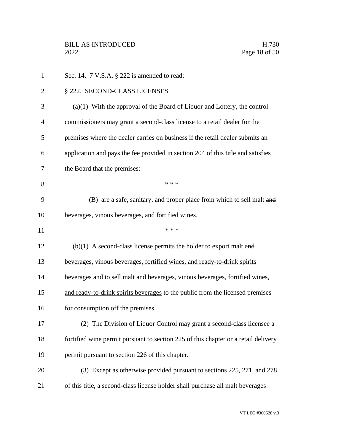| $\mathbf{1}$   | Sec. 14. $7$ V.S.A. $\S$ 222 is amended to read:                                   |
|----------------|------------------------------------------------------------------------------------|
| $\overline{2}$ | § 222. SECOND-CLASS LICENSES                                                       |
| 3              | $(a)(1)$ With the approval of the Board of Liquor and Lottery, the control         |
| $\overline{4}$ | commissioners may grant a second-class license to a retail dealer for the          |
| 5              | premises where the dealer carries on business if the retail dealer submits an      |
| 6              | application and pays the fee provided in section 204 of this title and satisfies   |
| 7              | the Board that the premises:                                                       |
| 8              | * * *                                                                              |
| 9              | (B) are a safe, sanitary, and proper place from which to sell malt and             |
| 10             | beverages, vinous beverages, and fortified wines.                                  |
| 11             | * * *                                                                              |
| 12             | $(b)(1)$ A second-class license permits the holder to export malt and              |
| 13             | beverages, vinous beverages, fortified wines, and ready-to-drink spirits           |
| 14             | beverages and to sell malt and beverages, vinous beverages, fortified wines,       |
| 15             | and ready-to-drink spirits beverages to the public from the licensed premises      |
| 16             | for consumption off the premises.                                                  |
| 17             | (2) The Division of Liquor Control may grant a second-class licensee a             |
| 18             | fortified wine permit pursuant to section 225 of this chapter or a retail delivery |
| 19             | permit pursuant to section 226 of this chapter.                                    |
| 20             | (3) Except as otherwise provided pursuant to sections 225, 271, and 278            |
| 21             | of this title, a second-class license holder shall purchase all malt beverages     |
|                |                                                                                    |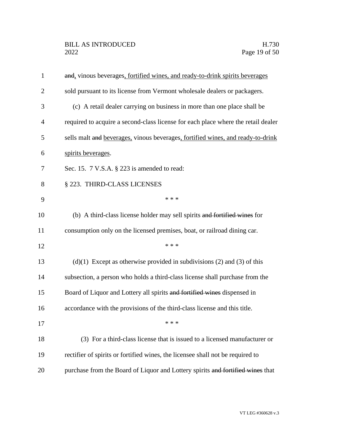| $\mathbf{1}$   | and, vinous beverages, fortified wines, and ready-to-drink spirits beverages      |
|----------------|-----------------------------------------------------------------------------------|
| $\overline{2}$ | sold pursuant to its license from Vermont wholesale dealers or packagers.         |
| 3              | (c) A retail dealer carrying on business in more than one place shall be          |
| $\overline{4}$ | required to acquire a second-class license for each place where the retail dealer |
| 5              | sells malt and beverages, vinous beverages, fortified wines, and ready-to-drink   |
| 6              | spirits beverages.                                                                |
| 7              | Sec. 15. 7 V.S.A. § 223 is amended to read:                                       |
| 8              | § 223. THIRD-CLASS LICENSES                                                       |
| 9              | * * *                                                                             |
| 10             | (b) A third-class license holder may sell spirits and fortified wines for         |
| 11             | consumption only on the licensed premises, boat, or railroad dining car.          |
| 12             | * * *                                                                             |
| 13             | $(d)(1)$ Except as otherwise provided in subdivisions (2) and (3) of this         |
| 14             | subsection, a person who holds a third-class license shall purchase from the      |
| 15             | Board of Liquor and Lottery all spirits and fortified wines dispensed in          |
| 16             | accordance with the provisions of the third-class license and this title.         |
| 17             | * * *                                                                             |
| 18             | (3) For a third-class license that is issued to a licensed manufacturer or        |
| 19             | rectifier of spirits or fortified wines, the licensee shall not be required to    |
| 20             | purchase from the Board of Liquor and Lottery spirits and fortified wines that    |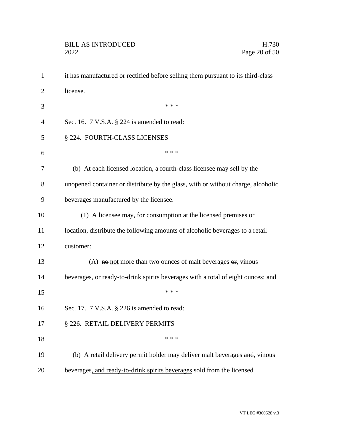| $\mathbf{1}$   | it has manufactured or rectified before selling them pursuant to its third-class |
|----------------|----------------------------------------------------------------------------------|
| $\overline{2}$ | license.                                                                         |
| 3              | * * *                                                                            |
| 4              | Sec. 16. $7$ V.S.A. $\S$ 224 is amended to read:                                 |
| 5              | § 224. FOURTH-CLASS LICENSES                                                     |
| 6              | * * *                                                                            |
| 7              | (b) At each licensed location, a fourth-class licensee may sell by the           |
| 8              | unopened container or distribute by the glass, with or without charge, alcoholic |
| 9              | beverages manufactured by the licensee.                                          |
| 10             | (1) A licensee may, for consumption at the licensed premises or                  |
| 11             | location, distribute the following amounts of alcoholic beverages to a retail    |
| 12             | customer:                                                                        |
| 13             | (A) not more than two ounces of malt beverages $\theta$ <sub>r</sub> vinous      |
| 14             | beverages, or ready-to-drink spirits beverages with a total of eight ounces; and |
| 15             | * * *                                                                            |
| 16             | Sec. 17. 7 V.S.A. § 226 is amended to read:                                      |
| 17             | § 226. RETAIL DELIVERY PERMITS                                                   |
| 18             | * * *                                                                            |
| 19             | (b) A retail delivery permit holder may deliver malt beverages and, vinous       |
| 20             | beverages, and ready-to-drink spirits beverages sold from the licensed           |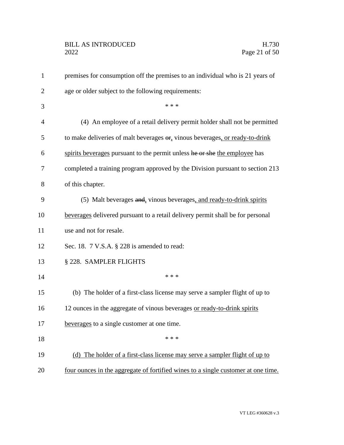| $\mathbf{1}$   | premises for consumption off the premises to an individual who is 21 years of                  |
|----------------|------------------------------------------------------------------------------------------------|
| $\overline{2}$ | age or older subject to the following requirements:                                            |
| 3              | * * *                                                                                          |
| $\overline{4}$ | (4) An employee of a retail delivery permit holder shall not be permitted                      |
| 5              | to make deliveries of malt beverages $\Theta$ <sub>r</sub> vinous beverages, or ready-to-drink |
| 6              | spirits beverages pursuant to the permit unless he or she the employee has                     |
| 7              | completed a training program approved by the Division pursuant to section 213                  |
| 8              | of this chapter.                                                                               |
| 9              | (5) Malt beverages and, vinous beverages, and ready-to-drink spirits                           |
| 10             | beverages delivered pursuant to a retail delivery permit shall be for personal                 |
| 11             | use and not for resale.                                                                        |
| 12             | Sec. 18. 7 V.S.A. § 228 is amended to read:                                                    |
| 13             | § 228. SAMPLER FLIGHTS                                                                         |
| 14             | * * *                                                                                          |
| 15             | (b) The holder of a first-class license may serve a sampler flight of up to                    |
| 16             | 12 ounces in the aggregate of vinous beverages or ready-to-drink spirits                       |
| 17             | beverages to a single customer at one time                                                     |
| 18             | * * *                                                                                          |
| 19             | (d) The holder of a first-class license may serve a sampler flight of up to                    |
| 20             | four ounces in the aggregate of fortified wines to a single customer at one time.              |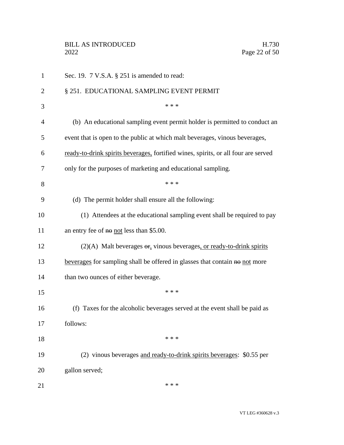| 1              | Sec. 19. 7 V.S.A. § 251 is amended to read:                                        |
|----------------|------------------------------------------------------------------------------------|
| $\overline{2}$ | § 251. EDUCATIONAL SAMPLING EVENT PERMIT                                           |
| 3              | * * *                                                                              |
| $\overline{4}$ | (b) An educational sampling event permit holder is permitted to conduct an         |
| 5              | event that is open to the public at which malt beverages, vinous beverages,        |
| 6              | ready-to-drink spirits beverages, fortified wines, spirits, or all four are served |
| 7              | only for the purposes of marketing and educational sampling.                       |
| 8              | * * *                                                                              |
| 9              | (d) The permit holder shall ensure all the following:                              |
| 10             | (1) Attendees at the educational sampling event shall be required to pay           |
| 11             | an entry fee of no not less than \$5.00.                                           |
| 12             | $(2)(A)$ Malt beverages $\Theta$ , vinous beverages, or ready-to-drink spirits     |
| 13             | beverages for sampling shall be offered in glasses that contain no not more        |
| 14             | than two ounces of either beverage.                                                |
| 15             | * * *                                                                              |
| 16             | (f) Taxes for the alcoholic beverages served at the event shall be paid as         |
| 17             | follows:                                                                           |
| 18             | * * *                                                                              |
| 19             | (2) vinous beverages and ready-to-drink spirits beverages: \$0.55 per              |
| 20             | gallon served;                                                                     |
| 21             | * * *                                                                              |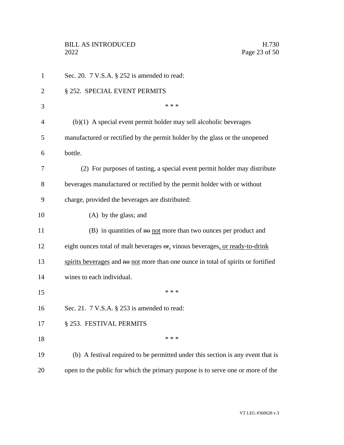| $\mathbf{1}$   | Sec. 20. $7$ V.S.A. $\S$ 252 is amended to read:                                  |
|----------------|-----------------------------------------------------------------------------------|
| $\overline{2}$ | § 252. SPECIAL EVENT PERMITS                                                      |
| 3              | * * *                                                                             |
| $\overline{4}$ | $(b)(1)$ A special event permit holder may sell alcoholic beverages               |
| 5              | manufactured or rectified by the permit holder by the glass or the unopened       |
| 6              | bottle.                                                                           |
| 7              | (2) For purposes of tasting, a special event permit holder may distribute         |
| 8              | beverages manufactured or rectified by the permit holder with or without          |
| 9              | charge, provided the beverages are distributed:                                   |
| 10             | (A) by the glass; and                                                             |
| 11             | $(B)$ in quantities of $\theta$ not more than two ounces per product and          |
| 12             | eight ounces total of malt beverages or, vinous beverages, or ready-to-drink      |
| 13             | spirits beverages and no not more than one ounce in total of spirits or fortified |
| 14             | wines to each individual.                                                         |
| 15             | * * *                                                                             |
| 16             | Sec. 21. $7$ V.S.A. $\S$ 253 is amended to read:                                  |
| 17             | § 253. FESTIVAL PERMITS                                                           |
| 18             | * * *                                                                             |
| 19             | (b) A festival required to be permitted under this section is any event that is   |
| 20             | open to the public for which the primary purpose is to serve one or more of the   |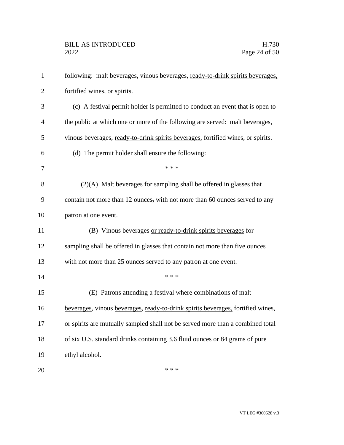| $\mathbf{1}$   | following: malt beverages, vinous beverages, ready-to-drink spirits beverages,   |
|----------------|----------------------------------------------------------------------------------|
| $\overline{2}$ | fortified wines, or spirits.                                                     |
| 3              | (c) A festival permit holder is permitted to conduct an event that is open to    |
| $\overline{4}$ | the public at which one or more of the following are served: malt beverages,     |
| 5              | vinous beverages, ready-to-drink spirits beverages, fortified wines, or spirits. |
| 6              | (d) The permit holder shall ensure the following:                                |
| 7              | * * *                                                                            |
| 8              | $(2)(A)$ Malt beverages for sampling shall be offered in glasses that            |
| 9              | contain not more than 12 ounces, with not more than 60 ounces served to any      |
| 10             | patron at one event.                                                             |
| 11             | (B) Vinous beverages or ready-to-drink spirits beverages for                     |
| 12             | sampling shall be offered in glasses that contain not more than five ounces      |
| 13             | with not more than 25 ounces served to any patron at one event.                  |
| 14             | * * *                                                                            |
| 15             | (E) Patrons attending a festival where combinations of malt                      |
| 16             | beverages, vinous beverages, ready-to-drink spirits beverages, fortified wines,  |
| 17             | or spirits are mutually sampled shall not be served more than a combined total   |
| 18             | of six U.S. standard drinks containing 3.6 fluid ounces or 84 grams of pure      |
| 19             | ethyl alcohol.                                                                   |
| 20             | * * *                                                                            |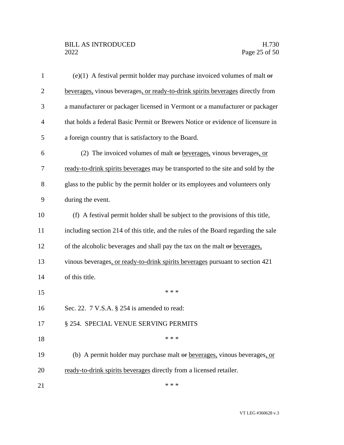## BILL AS INTRODUCED H.730<br>2022 Page 25 of 50

| $\mathbf{1}$   | (e)(1) A festival permit holder may purchase invoiced volumes of malt $\theta$     |
|----------------|------------------------------------------------------------------------------------|
| $\overline{2}$ | beverages, vinous beverages, or ready-to-drink spirits beverages directly from     |
| 3              | a manufacturer or packager licensed in Vermont or a manufacturer or packager       |
| $\overline{4}$ | that holds a federal Basic Permit or Brewers Notice or evidence of licensure in    |
| 5              | a foreign country that is satisfactory to the Board.                               |
| 6              | (2) The invoiced volumes of malt or beverages, vinous beverages, or                |
| 7              | ready-to-drink spirits beverages may be transported to the site and sold by the    |
| 8              | glass to the public by the permit holder or its employees and volunteers only      |
| 9              | during the event.                                                                  |
| 10             | (f) A festival permit holder shall be subject to the provisions of this title,     |
| 11             | including section 214 of this title, and the rules of the Board regarding the sale |
| 12             | of the alcoholic beverages and shall pay the tax on the malt or beverages,         |
| 13             | vinous beverages, or ready-to-drink spirits beverages pursuant to section 421      |
| 14             | of this title.                                                                     |
| 15             | * * *                                                                              |
| 16             | Sec. 22. 7 V.S.A. § 254 is amended to read:                                        |
| 17             | § 254. SPECIAL VENUE SERVING PERMITS                                               |
| 18             | * * *                                                                              |
| 19             | (b) A permit holder may purchase malt or beverages, vinous beverages, or           |
| 20             | ready-to-drink spirits beverages directly from a licensed retailer.                |
| 21             | * * *                                                                              |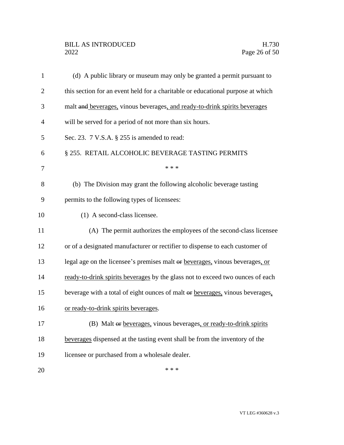| 1              | (d) A public library or museum may only be granted a permit pursuant to         |
|----------------|---------------------------------------------------------------------------------|
| $\overline{2}$ | this section for an event held for a charitable or educational purpose at which |
| 3              | malt and beverages, vinous beverages, and ready-to-drink spirits beverages      |
| 4              | will be served for a period of not more than six hours.                         |
| 5              | Sec. 23. 7 V.S.A. § 255 is amended to read:                                     |
| 6              | § 255. RETAIL ALCOHOLIC BEVERAGE TASTING PERMITS                                |
| 7              | * * *                                                                           |
| 8              | (b) The Division may grant the following alcoholic beverage tasting             |
| 9              | permits to the following types of licensees:                                    |
| 10             | (1) A second-class licensee.                                                    |
| 11             | (A) The permit authorizes the employees of the second-class licensee            |
| 12             | or of a designated manufacturer or rectifier to dispense to each customer of    |
| 13             | legal age on the licensee's premises malt or beverages, vinous beverages, or    |
| 14             | ready-to-drink spirits beverages by the glass not to exceed two ounces of each  |
| 15             | beverage with a total of eight ounces of malt or beverages, vinous beverages,   |
| 16             | or ready-to-drink spirits beverages.                                            |
| 17             | (B) Malt or beverages, vinous beverages, or ready-to-drink spirits              |
| 18             | beverages dispensed at the tasting event shall be from the inventory of the     |
| 19             | licensee or purchased from a wholesale dealer.                                  |
| 20             | * * *                                                                           |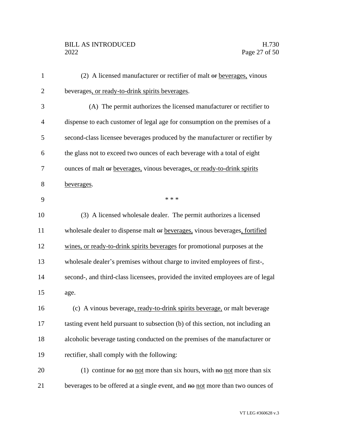# BILL AS INTRODUCED H.730<br>2022 Page 27 of 50

| $\mathbf{1}$   | (2) A licensed manufacturer or rectifier of malt $\Theta$ r beverages, vinous      |
|----------------|------------------------------------------------------------------------------------|
| $\overline{2}$ | beverages, or ready-to-drink spirits beverages.                                    |
| 3              | (A) The permit authorizes the licensed manufacturer or rectifier to                |
| $\overline{4}$ | dispense to each customer of legal age for consumption on the premises of a        |
| 5              | second-class licensee beverages produced by the manufacturer or rectifier by       |
| 6              | the glass not to exceed two ounces of each beverage with a total of eight          |
| 7              | ounces of malt or beverages, vinous beverages, or ready-to-drink spirits           |
| 8              | beverages.                                                                         |
| 9              | * * *                                                                              |
| 10             | (3) A licensed wholesale dealer. The permit authorizes a licensed                  |
| 11             | wholesale dealer to dispense malt or beverages, vinous beverages, fortified        |
| 12             | wines, or ready-to-drink spirits beverages for promotional purposes at the         |
| 13             | wholesale dealer's premises without charge to invited employees of first-,         |
| 14             | second-, and third-class licensees, provided the invited employees are of legal    |
| 15             | age.                                                                               |
| 16             | (c) A vinous beverage, ready-to-drink spirits beverage, or malt beverage           |
| 17             | tasting event held pursuant to subsection (b) of this section, not including an    |
| 18             | alcoholic beverage tasting conducted on the premises of the manufacturer or        |
| 19             | rectifier, shall comply with the following:                                        |
| 20             | (1) continue for $\theta$ not more than six hours, with $\theta$ not more than six |
| 21             | beverages to be offered at a single event, and no not more than two ounces of      |
|                |                                                                                    |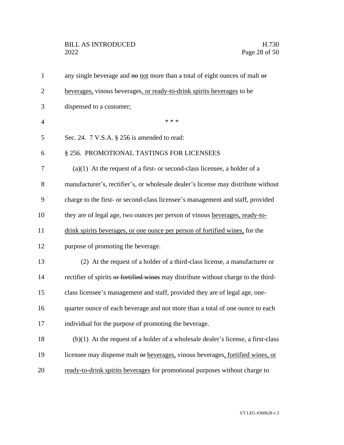## BILL AS INTRODUCED H.730<br>2022 Page 28 of 50

| $\mathbf{1}$   | any single beverage and no not more than a total of eight ounces of malt or         |
|----------------|-------------------------------------------------------------------------------------|
| $\overline{2}$ | beverages, vinous beverages, or ready-to-drink spirits beverages to be              |
| 3              | dispensed to a customer;                                                            |
| $\overline{4}$ | * * *                                                                               |
| 5              | Sec. 24. 7 V.S.A. § 256 is amended to read:                                         |
| 6              | § 256. PROMOTIONAL TASTINGS FOR LICENSEES                                           |
| 7              | $(a)(1)$ At the request of a first- or second-class licensee, a holder of a         |
| 8              | manufacturer's, rectifier's, or wholesale dealer's license may distribute without   |
| 9              | charge to the first- or second-class licensee's management and staff, provided      |
| 10             | they are of legal age, two ounces per person of vinous beverages, ready-to-         |
| 11             | drink spirits beverages, or one ounce per person of fortified wines, for the        |
| 12             | purpose of promoting the beverage.                                                  |
| 13             | (2) At the request of a holder of a third-class license, a manufacturer or          |
| 14             | rectifier of spirits or fortified wines may distribute without charge to the third- |
| 15             | class licensee's management and staff, provided they are of legal age, one-         |
| 16             | quarter ounce of each beverage and not more than a total of one ounce to each       |
| 17             | individual for the purpose of promoting the beverage.                               |
| 18             | $(b)(1)$ At the request of a holder of a wholesale dealer's license, a first-class  |
| 19             | licensee may dispense malt or beverages, vinous beverages, fortified wines, or      |
| 20             | ready-to-drink spirits beverages for promotional purposes without charge to         |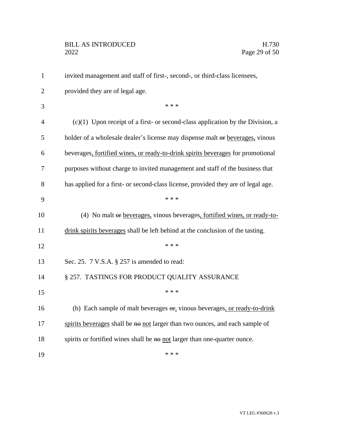| $\mathbf{1}$   | invited management and staff of first-, second-, or third-class licensees,                |
|----------------|-------------------------------------------------------------------------------------------|
| $\overline{2}$ | provided they are of legal age.                                                           |
| 3              | * * *                                                                                     |
| $\overline{4}$ | $(c)(1)$ Upon receipt of a first- or second-class application by the Division, a          |
| 5              | holder of a wholesale dealer's license may dispense malt or beverages, vinous             |
| 6              | beverages, fortified wines, or ready-to-drink spirits beverages for promotional           |
| 7              | purposes without charge to invited management and staff of the business that              |
| 8              | has applied for a first- or second-class license, provided they are of legal age.         |
| 9              | * * *                                                                                     |
| 10             | (4) No malt or beverages, vinous beverages, fortified wines, or ready-to-                 |
| 11             | drink spirits beverages shall be left behind at the conclusion of the tasting.            |
| 12             | * * *                                                                                     |
| 13             | Sec. 25. 7 V.S.A. § 257 is amended to read:                                               |
| 14             | § 257. TASTINGS FOR PRODUCT QUALITY ASSURANCE                                             |
| 15             | * * *                                                                                     |
| 16             | (b) Each sample of malt beverages $\Theta$ <b>r</b> , vinous beverages, or ready-to-drink |
| 17             | spirits beverages shall be no not larger than two ounces, and each sample of              |
| 18             | spirits or fortified wines shall be no not larger than one-quarter ounce.                 |
| 19             | * * *                                                                                     |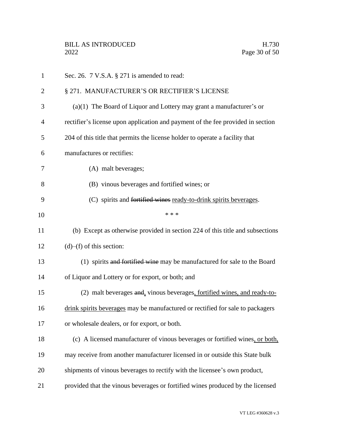| $\mathbf{1}$   | Sec. 26. $7$ V.S.A. $\S 271$ is amended to read:                                |
|----------------|---------------------------------------------------------------------------------|
| $\overline{2}$ | § 271. MANUFACTURER'S OR RECTIFIER'S LICENSE                                    |
| 3              | $(a)(1)$ The Board of Liquor and Lottery may grant a manufacturer's or          |
| 4              | rectifier's license upon application and payment of the fee provided in section |
| 5              | 204 of this title that permits the license holder to operate a facility that    |
| 6              | manufactures or rectifies:                                                      |
| 7              | (A) malt beverages;                                                             |
| 8              | (B) vinous beverages and fortified wines; or                                    |
| 9              | (C) spirits and fortified wines ready-to-drink spirits beverages.               |
| 10             | * * *                                                                           |
| 11             | (b) Except as otherwise provided in section 224 of this title and subsections   |
| 12             | $(d)$ – $(f)$ of this section:                                                  |
| 13             | (1) spirits and fortified wine may be manufactured for sale to the Board        |
| 14             | of Liquor and Lottery or for export, or both; and                               |
| 15             | (2) malt beverages and, vinous beverages, fortified wines, and ready-to-        |
| 16             | drink spirits beverages may be manufactured or rectified for sale to packagers  |
| 17             | or wholesale dealers, or for export, or both.                                   |
| 18             | (c) A licensed manufacturer of vinous beverages or fortified wines, or both,    |
| 19             | may receive from another manufacturer licensed in or outside this State bulk    |
| 20             | shipments of vinous beverages to rectify with the licensee's own product,       |
| 21             | provided that the vinous beverages or fortified wines produced by the licensed  |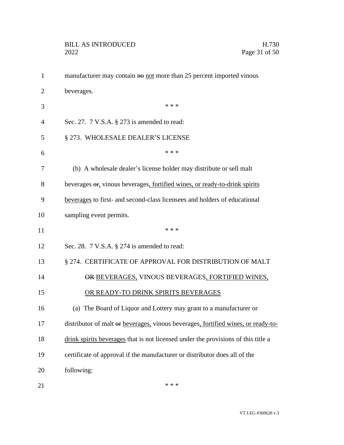| $\mathbf{1}$   | manufacturer may contain no not more than 25 percent imported vinous              |
|----------------|-----------------------------------------------------------------------------------|
| $\overline{2}$ | beverages.                                                                        |
| 3              | * * *                                                                             |
| 4              | Sec. 27. 7 V.S.A. § 273 is amended to read:                                       |
| 5              | § 273. WHOLESALE DEALER'S LICENSE                                                 |
| 6              | * * *                                                                             |
| 7              | (b) A wholesale dealer's license holder may distribute or sell malt               |
| 8              | beverages $\Theta$ , vinous beverages, fortified wines, or ready-to-drink spirits |
| 9              | beverages to first- and second-class licensees and holders of educational         |
| 10             | sampling event permits.                                                           |
| 11             | * * *                                                                             |
| 12             | Sec. 28. $7 \text{ V.S.A. }$ \$ 274 is amended to read:                           |
| 13             | § 274. CERTIFICATE OF APPROVAL FOR DISTRIBUTION OF MALT                           |
| 14             | OR BEVERAGES, VINOUS BEVERAGES, FORTIFIED WINES,                                  |
| 15             | OR READY-TO DRINK SPIRITS BEVERAGES                                               |
| 16             | (a) The Board of Liquor and Lottery may grant to a manufacturer or                |
| 17             | distributor of malt or beverages, vinous beverages, fortified wines, or ready-to- |
| 18             | drink spirits beverages that is not licensed under the provisions of this title a |
| 19             | certificate of approval if the manufacturer or distributor does all of the        |
| 20             | following:                                                                        |
| 21             | * * *                                                                             |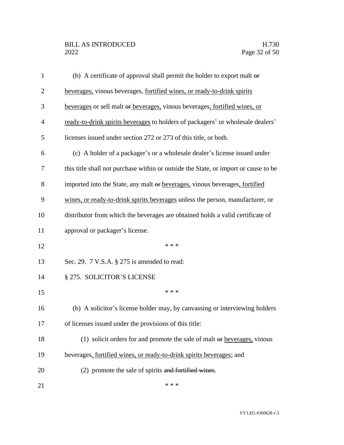| $\mathbf{1}$   | (b) A certificate of approval shall permit the holder to export malt $\theta$       |
|----------------|-------------------------------------------------------------------------------------|
| $\overline{c}$ | beverages, vinous beverages, fortified wines, or ready-to-drink spirits             |
| 3              | beverages or sell malt or beverages, vinous beverages, fortified wines, or          |
| $\overline{4}$ | ready-to-drink spirits beverages to holders of packagers' or wholesale dealers'     |
| 5              | licenses issued under section 272 or 273 of this title, or both.                    |
| 6              | (c) A holder of a packager's or a wholesale dealer's license issued under           |
| 7              | this title shall not purchase within or outside the State, or import or cause to be |
| 8              | imported into the State, any malt or beverages, vinous beverages, fortified         |
| 9              | wines, or ready-to-drink spirits beverages unless the person, manufacturer, or      |
| 10             | distributor from which the beverages are obtained holds a valid certificate of      |
| 11             | approval or packager's license.                                                     |
| 12             | * * *                                                                               |
| 13             | Sec. 29. 7 V.S.A. § 275 is amended to read:                                         |
| 14             | § 275. SOLICITOR'S LICENSE                                                          |
| 15             | * * *                                                                               |
| 16             | (b) A solicitor's license holder may, by canvassing or interviewing holders         |
| 17             | of licenses issued under the provisions of this title:                              |
| 18             | (1) solicit orders for and promote the sale of malt $\Theta$ beverages, vinous      |
| 19             | beverages, fortified wines, or ready-to-drink spirits beverages; and                |
| 20             | (2) promote the sale of spirits and fortified wines.                                |
| 21             | * * *                                                                               |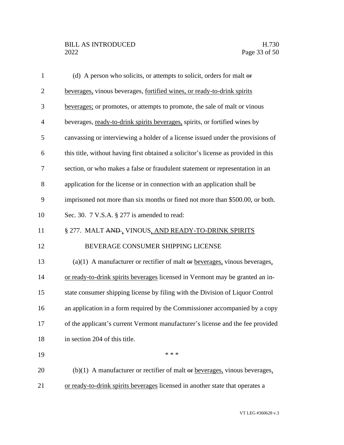| $\mathbf{1}$   | (d) A person who solicits, or attempts to solicit, orders for malt $\theta$ <b>f</b>   |
|----------------|----------------------------------------------------------------------------------------|
| $\mathbf{2}$   | beverages, vinous beverages, fortified wines, or ready-to-drink spirits                |
| 3              | beverages; or promotes, or attempts to promote, the sale of malt or vinous             |
| $\overline{4}$ | beverages, ready-to-drink spirits beverages, spirits, or fortified wines by            |
| 5              | canvassing or interviewing a holder of a license issued under the provisions of        |
| 6              | this title, without having first obtained a solicitor's license as provided in this    |
| 7              | section, or who makes a false or fraudulent statement or representation in an          |
| 8              | application for the license or in connection with an application shall be              |
| 9              | imprisoned not more than six months or fined not more than \$500.00, or both.          |
| 10             | Sec. 30. 7 V.S.A. § 277 is amended to read:                                            |
| 11             | § 277. MALT AND, VINOUS, AND READY-TO-DRINK SPIRITS                                    |
| 12             | BEVERAGE CONSUMER SHIPPING LICENSE                                                     |
| 13             | $(a)(1)$ A manufacturer or rectifier of malt $\theta$ r beverages, vinous beverages,   |
| 14             | or ready-to-drink spirits beverages licensed in Vermont may be granted an in-          |
| 15             | state consumer shipping license by filing with the Division of Liquor Control          |
| 16             | an application in a form required by the Commissioner accompanied by a copy            |
| 17             | of the applicant's current Vermont manufacturer's license and the fee provided         |
| 18             | in section 204 of this title.                                                          |
| 19             | * * *                                                                                  |
| 20             | $(b)(1)$ A manufacturer or rectifier of malt $\theta$ ref beverages, vinous beverages, |
| 21             | or ready-to-drink spirits beverages licensed in another state that operates a          |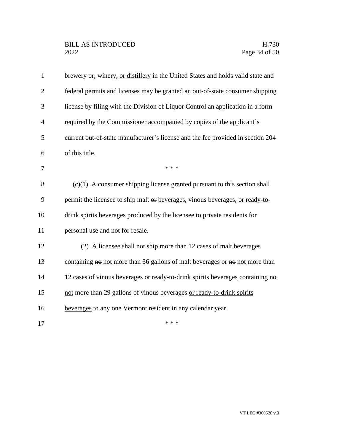| $\mathbf{1}$   | brewery $\Theta$ <sub>r</sub> winery, or distillery in the United States and holds valid state and |
|----------------|----------------------------------------------------------------------------------------------------|
| $\overline{2}$ | federal permits and licenses may be granted an out-of-state consumer shipping                      |
| 3              | license by filing with the Division of Liquor Control an application in a form                     |
| $\overline{4}$ | required by the Commissioner accompanied by copies of the applicant's                              |
| 5              | current out-of-state manufacturer's license and the fee provided in section 204                    |
| 6              | of this title.                                                                                     |
| 7              | * * *                                                                                              |
| 8              | $(c)(1)$ A consumer shipping license granted pursuant to this section shall                        |
| 9              | permit the licensee to ship malt or beverages, vinous beverages, or ready-to-                      |
| 10             | drink spirits beverages produced by the licensee to private residents for                          |
| 11             | personal use and not for resale.                                                                   |
| 12             | (2) A licensee shall not ship more than 12 cases of malt beverages                                 |
| 13             | containing no not more than 36 gallons of malt beverages or no not more than                       |
| 14             | 12 cases of vinous beverages or ready-to-drink spirits beverages containing no                     |
| 15             | not more than 29 gallons of vinous beverages or ready-to-drink spirits                             |
| 16             | beverages to any one Vermont resident in any calendar year.                                        |
| 17             | * * *                                                                                              |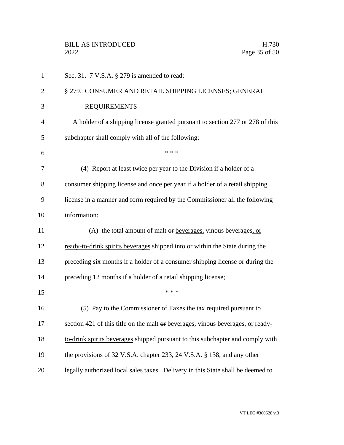| $\mathbf{1}$   | Sec. 31. 7 V.S.A. § 279 is amended to read:                                     |
|----------------|---------------------------------------------------------------------------------|
| $\overline{2}$ | § 279. CONSUMER AND RETAIL SHIPPING LICENSES; GENERAL                           |
| 3              | <b>REQUIREMENTS</b>                                                             |
| 4              | A holder of a shipping license granted pursuant to section 277 or 278 of this   |
| 5              | subchapter shall comply with all of the following:                              |
| 6              | * * *                                                                           |
| 7              | (4) Report at least twice per year to the Division if a holder of a             |
| 8              | consumer shipping license and once per year if a holder of a retail shipping    |
| 9              | license in a manner and form required by the Commissioner all the following     |
| 10             | information:                                                                    |
| 11             | (A) the total amount of malt $\Theta$ beverages, vinous beverages, or           |
| 12             | ready-to-drink spirits beverages shipped into or within the State during the    |
| 13             | preceding six months if a holder of a consumer shipping license or during the   |
| 14             | preceding 12 months if a holder of a retail shipping license;                   |
| 15             | * * *                                                                           |
| 16             | (5) Pay to the Commissioner of Taxes the tax required pursuant to               |
| 17             | section 421 of this title on the malt or beverages, vinous beverages, or ready- |
| 18             | to-drink spirits beverages shipped pursuant to this subchapter and comply with  |
| 19             | the provisions of 32 V.S.A. chapter 233, 24 V.S.A. § 138, and any other         |
| 20             | legally authorized local sales taxes. Delivery in this State shall be deemed to |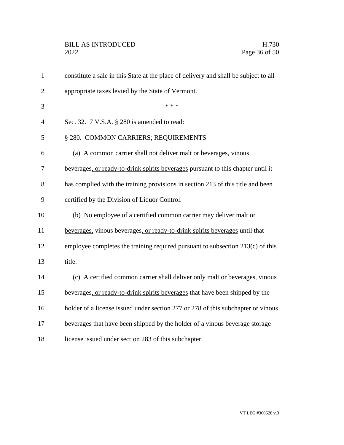| $\mathbf{1}$   | constitute a sale in this State at the place of delivery and shall be subject to all |
|----------------|--------------------------------------------------------------------------------------|
| $\overline{2}$ | appropriate taxes levied by the State of Vermont.                                    |
| 3              | * * *                                                                                |
| $\overline{4}$ | Sec. 32. 7 V.S.A. § 280 is amended to read:                                          |
| 5              | § 280. COMMON CARRIERS; REQUIREMENTS                                                 |
| 6              | (a) A common carrier shall not deliver malt or beverages, vinous                     |
| 7              | beverages, or ready-to-drink spirits beverages pursuant to this chapter until it     |
| 8              | has complied with the training provisions in section 213 of this title and been      |
| 9              | certified by the Division of Liquor Control.                                         |
| 10             | (b) No employee of a certified common carrier may deliver malt $\theta$              |
| 11             | beverages, vinous beverages, or ready-to-drink spirits beverages until that          |
| 12             | employee completes the training required pursuant to subsection 213(c) of this       |
| 13             | title.                                                                               |
| 14             | (c) A certified common carrier shall deliver only malt or beverages, vinous          |
| 15             | beverages, or ready-to-drink spirits beverages that have been shipped by the         |
| 16             | holder of a license issued under section 277 or 278 of this subchapter or vinous     |
| 17             | beverages that have been shipped by the holder of a vinous beverage storage          |
| 18             | license issued under section 283 of this subchapter.                                 |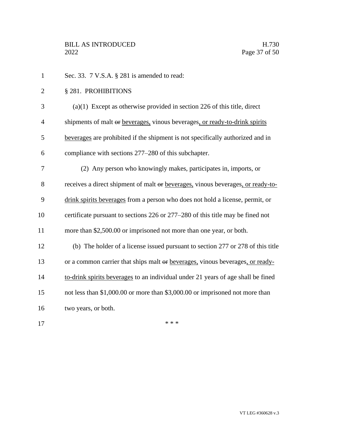1 Sec. 33. 7 V.S.A. § 281 is amended to read: § 281. PROHIBITIONS (a)(1) Except as otherwise provided in section 226 of this title, direct 4 shipments of malt or beverages, vinous beverages, or ready-to-drink spirits beverages are prohibited if the shipment is not specifically authorized and in compliance with sections 277–280 of this subchapter. (2) Any person who knowingly makes, participates in, imports, or receives a direct shipment of malt or beverages, vinous beverages, or ready-to- drink spirits beverages from a person who does not hold a license, permit, or certificate pursuant to sections 226 or 277–280 of this title may be fined not more than \$2,500.00 or imprisoned not more than one year, or both. (b) The holder of a license issued pursuant to section 277 or 278 of this title or a common carrier that ships malt or beverages, vinous beverages, or ready- to-drink spirits beverages to an individual under 21 years of age shall be fined not less than \$1,000.00 or more than \$3,000.00 or imprisoned not more than two years, or both.  $***$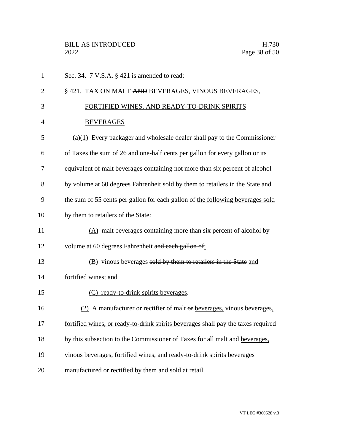| $\mathbf{1}$   | Sec. 34. 7 V.S.A. § 421 is amended to read:                                       |
|----------------|-----------------------------------------------------------------------------------|
| 2              | § 421. TAX ON MALT AND BEVERAGES, VINOUS BEVERAGES,                               |
| 3              | FORTIFIED WINES, AND READY-TO-DRINK SPIRITS                                       |
| $\overline{4}$ | <b>BEVERAGES</b>                                                                  |
| 5              | $(a)(1)$ Every packager and wholesale dealer shall pay to the Commissioner        |
| 6              | of Taxes the sum of 26 and one-half cents per gallon for every gallon or its      |
| 7              | equivalent of malt beverages containing not more than six percent of alcohol      |
| 8              | by volume at 60 degrees Fahrenheit sold by them to retailers in the State and     |
| 9              | the sum of 55 cents per gallon for each gallon of the following beverages sold    |
| 10             | by them to retailers of the State:                                                |
| 11             | $(A)$ malt beverages containing more than six percent of alcohol by               |
| 12             | volume at 60 degrees Fahrenheit and each gallon of:                               |
| 13             | (B) vinous beverages sold by them to retailers in the State and                   |
| 14             | fortified wines; and                                                              |
| 15             | (C) ready-to-drink spirits beverages.                                             |
| 16             | (2) A manufacturer or rectifier of malt or beverages, vinous beverages,           |
| 17             | fortified wines, or ready-to-drink spirits beverages shall pay the taxes required |
| 18             | by this subsection to the Commissioner of Taxes for all malt and beverages,       |
| 19             | vinous beverages, fortified wines, and ready-to-drink spirits beverages           |
| 20             | manufactured or rectified by them and sold at retail.                             |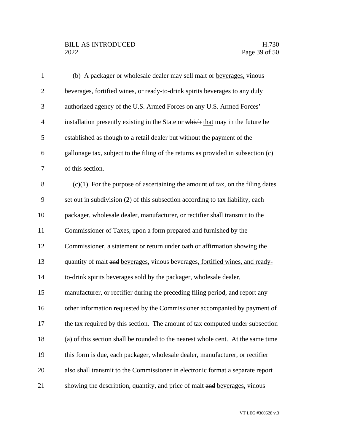## BILL AS INTRODUCED H.730<br>2022 Page 39 of 50

| $\mathbf{1}$   | (b) A packager or wholesale dealer may sell malt or beverages, vinous             |
|----------------|-----------------------------------------------------------------------------------|
| $\overline{2}$ | beverages, fortified wines, or ready-to-drink spirits beverages to any duly       |
| 3              | authorized agency of the U.S. Armed Forces on any U.S. Armed Forces'              |
| $\overline{4}$ | installation presently existing in the State or which that may in the future be   |
| 5              | established as though to a retail dealer but without the payment of the           |
| 6              | gallonage tax, subject to the filing of the returns as provided in subsection (c) |
| 7              | of this section.                                                                  |
| 8              | $(c)(1)$ For the purpose of ascertaining the amount of tax, on the filing dates   |
| 9              | set out in subdivision (2) of this subsection according to tax liability, each    |
| 10             | packager, wholesale dealer, manufacturer, or rectifier shall transmit to the      |
| 11             | Commissioner of Taxes, upon a form prepared and furnished by the                  |
| 12             | Commissioner, a statement or return under oath or affirmation showing the         |
| 13             | quantity of malt and beverages, vinous beverages, fortified wines, and ready-     |
| 14             | to-drink spirits beverages sold by the packager, wholesale dealer,                |
| 15             | manufacturer, or rectifier during the preceding filing period, and report any     |
| 16             | other information requested by the Commissioner accompanied by payment of         |
| 17             | the tax required by this section. The amount of tax computed under subsection     |
| 18             | (a) of this section shall be rounded to the nearest whole cent. At the same time  |
| 19             | this form is due, each packager, wholesale dealer, manufacturer, or rectifier     |
| 20             | also shall transmit to the Commissioner in electronic format a separate report    |
| 21             | showing the description, quantity, and price of malt and beverages, vinous        |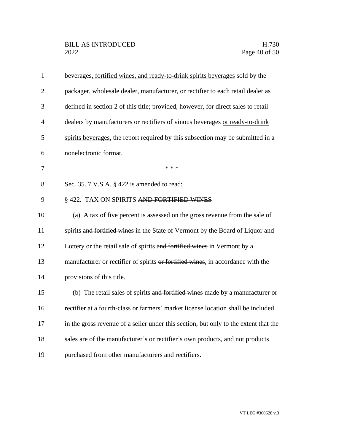| $\mathbf{1}$   | beverages, fortified wines, and ready-to-drink spirits beverages sold by the         |
|----------------|--------------------------------------------------------------------------------------|
| $\overline{2}$ | packager, wholesale dealer, manufacturer, or rectifier to each retail dealer as      |
| 3              | defined in section 2 of this title; provided, however, for direct sales to retail    |
| $\overline{4}$ | dealers by manufacturers or rectifiers of vinous beverages or ready-to-drink         |
| 5              | spirits beverages, the report required by this subsection may be submitted in a      |
| 6              | nonelectronic format.                                                                |
| 7              | * * *                                                                                |
| 8              | Sec. 35. 7 V.S.A. § 422 is amended to read:                                          |
| 9              | § 422. TAX ON SPIRITS AND FORTIFIED WINES                                            |
| 10             | (a) A tax of five percent is assessed on the gross revenue from the sale of          |
| 11             | spirits and fortified wines in the State of Vermont by the Board of Liquor and       |
| 12             | Lottery or the retail sale of spirits and fortified wines in Vermont by a            |
| 13             | manufacturer or rectifier of spirits or fortified wines, in accordance with the      |
| 14             | provisions of this title.                                                            |
| 15             | (b) The retail sales of spirits and fortified wines made by a manufacturer or        |
| 16             | rectifier at a fourth-class or farmers' market license location shall be included    |
| 17             | in the gross revenue of a seller under this section, but only to the extent that the |
| 18             | sales are of the manufacturer's or rectifier's own products, and not products        |
| 19             | purchased from other manufacturers and rectifiers.                                   |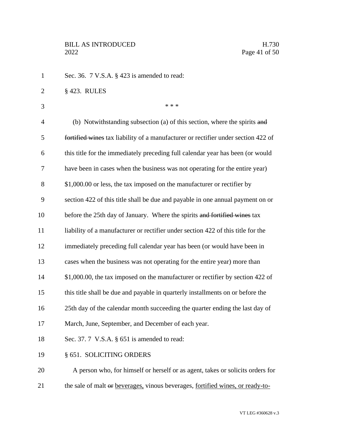| $\mathbf{1}$   | Sec. 36. 7 V.S.A. § 423 is amended to read:                                       |
|----------------|-----------------------------------------------------------------------------------|
| $\overline{c}$ | § 423. RULES                                                                      |
| 3              | * * *                                                                             |
| 4              | (b) Notwithstanding subsection (a) of this section, where the spirits and         |
| 5              | fortified wines tax liability of a manufacturer or rectifier under section 422 of |
| 6              | this title for the immediately preceding full calendar year has been (or would    |
| 7              | have been in cases when the business was not operating for the entire year)       |
| 8              | \$1,000.00 or less, the tax imposed on the manufacturer or rectifier by           |
| 9              | section 422 of this title shall be due and payable in one annual payment on or    |
| 10             | before the 25th day of January. Where the spirits and fortified wines tax         |
| 11             | liability of a manufacturer or rectifier under section 422 of this title for the  |
| 12             | immediately preceding full calendar year has been (or would have been in          |
| 13             | cases when the business was not operating for the entire year) more than          |
| 14             | \$1,000.00, the tax imposed on the manufacturer or rectifier by section 422 of    |
| 15             | this title shall be due and payable in quarterly installments on or before the    |
| 16             | 25th day of the calendar month succeeding the quarter ending the last day of      |
| 17             | March, June, September, and December of each year.                                |
| 18             | Sec. 37. 7 V.S.A. $\S$ 651 is amended to read:                                    |
| 19             | § 651. SOLICITING ORDERS                                                          |
| 20             | A person who, for himself or herself or as agent, takes or solicits orders for    |
| 21             | the sale of malt or beverages, vinous beverages, fortified wines, or ready-to-    |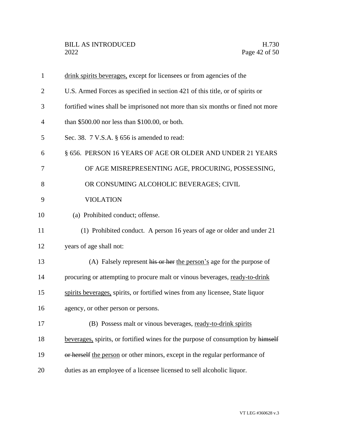| $\mathbf{1}$   | drink spirits beverages, except for licensees or from agencies of the            |
|----------------|----------------------------------------------------------------------------------|
| 2              | U.S. Armed Forces as specified in section 421 of this title, or of spirits or    |
| 3              | fortified wines shall be imprisoned not more than six months or fined not more   |
| $\overline{4}$ | than $$500.00$ nor less than $$100.00$ , or both.                                |
| 5              | Sec. 38. 7 V.S.A. § 656 is amended to read:                                      |
| 6              | § 656. PERSON 16 YEARS OF AGE OR OLDER AND UNDER 21 YEARS                        |
| 7              | OF AGE MISREPRESENTING AGE, PROCURING, POSSESSING,                               |
| 8              | OR CONSUMING ALCOHOLIC BEVERAGES; CIVIL                                          |
| 9              | <b>VIOLATION</b>                                                                 |
| 10             | (a) Prohibited conduct; offense.                                                 |
| 11             | (1) Prohibited conduct. A person 16 years of age or older and under 21           |
| 12             | years of age shall not:                                                          |
| 13             | (A) Falsely represent his or her the person's age for the purpose of             |
| 14             | procuring or attempting to procure malt or vinous beverages, ready-to-drink      |
| 15             | spirits beverages, spirits, or fortified wines from any licensee, State liquor   |
| 16             | agency, or other person or persons.                                              |
| 17             | (B) Possess malt or vinous beverages, ready-to-drink spirits                     |
| 18             | beverages, spirits, or fortified wines for the purpose of consumption by himself |
| 19             | or herself the person or other minors, except in the regular performance of      |
| 20             | duties as an employee of a licensee licensed to sell alcoholic liquor.           |
|                |                                                                                  |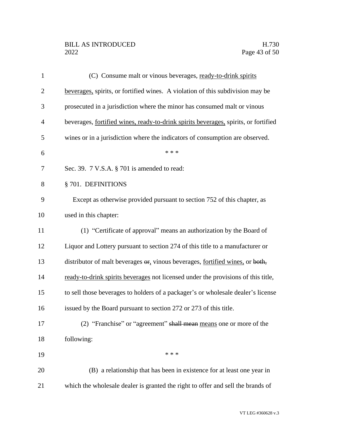## BILL AS INTRODUCED H.730<br>2022 Page 43 of 50

| $\mathbf{1}$   | (C) Consume malt or vinous beverages, ready-to-drink spirits                         |
|----------------|--------------------------------------------------------------------------------------|
| $\overline{2}$ | beverages, spirits, or fortified wines. A violation of this subdivision may be       |
| 3              | prosecuted in a jurisdiction where the minor has consumed malt or vinous             |
| $\overline{4}$ | beverages, fortified wines, ready-to-drink spirits beverages, spirits, or fortified  |
| 5              | wines or in a jurisdiction where the indicators of consumption are observed.         |
| 6              | * * *                                                                                |
| 7              | Sec. 39. 7 V.S.A. § 701 is amended to read:                                          |
| 8              | § 701. DEFINITIONS                                                                   |
| 9              | Except as otherwise provided pursuant to section 752 of this chapter, as             |
| 10             | used in this chapter:                                                                |
| 11             | (1) "Certificate of approval" means an authorization by the Board of                 |
| 12             | Liquor and Lottery pursuant to section 274 of this title to a manufacturer or        |
| 13             | distributor of malt beverages $\Theta$ , vinous beverages, fortified wines, or both, |
| 14             | ready-to-drink spirits beverages not licensed under the provisions of this title,    |
| 15             | to sell those beverages to holders of a packager's or wholesale dealer's license     |
| 16             | issued by the Board pursuant to section 272 or 273 of this title.                    |
| 17             | (2) "Franchise" or "agreement" shall mean means one or more of the                   |
| 18             | following:                                                                           |
| 19             | * * *                                                                                |
| 20             | (B) a relationship that has been in existence for at least one year in               |
| 21             | which the wholesale dealer is granted the right to offer and sell the brands of      |
|                |                                                                                      |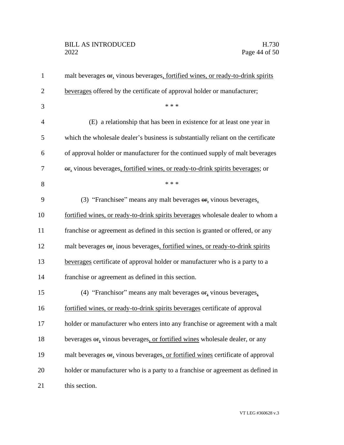# BILL AS INTRODUCED H.730<br>2022 Page 44 of 50

| $\mathbf{1}$   | malt beverages or, vinous beverages, fortified wines, or ready-to-drink spirits                  |
|----------------|--------------------------------------------------------------------------------------------------|
| $\overline{2}$ | beverages offered by the certificate of approval holder or manufacturer;                         |
| 3              | * * *                                                                                            |
| 4              | (E) a relationship that has been in existence for at least one year in                           |
| 5              | which the wholesale dealer's business is substantially reliant on the certificate                |
| 6              | of approval holder or manufacturer for the continued supply of malt beverages                    |
| 7              | or, vinous beverages, fortified wines, or ready-to-drink spirits beverages; or                   |
| 8              | * * *                                                                                            |
| 9              | (3) "Franchisee" means any malt beverages or, vinous beverages,                                  |
| 10             | fortified wines, or ready-to-drink spirits beverages wholesale dealer to whom a                  |
| 11             | franchise or agreement as defined in this section is granted or offered, or any                  |
| 12             | malt beverages $\Theta$ <sub>r</sub> inous beverages, fortified wines, or ready-to-drink spirits |
| 13             | beverages certificate of approval holder or manufacturer who is a party to a                     |
| 14             | franchise or agreement as defined in this section.                                               |
| 15             | (4) "Franchisor" means any malt beverages or, vinous beverages,                                  |
| 16             | fortified wines, or ready-to-drink spirits beverages certificate of approval                     |
| 17             | holder or manufacturer who enters into any franchise or agreement with a malt                    |
| 18             | beverages $\Theta$ , vinous beverages, or fortified wines wholesale dealer, or any               |
| 19             | malt beverages or, vinous beverages, or fortified wines certificate of approval                  |
| 20             | holder or manufacturer who is a party to a franchise or agreement as defined in                  |
| 21             | this section.                                                                                    |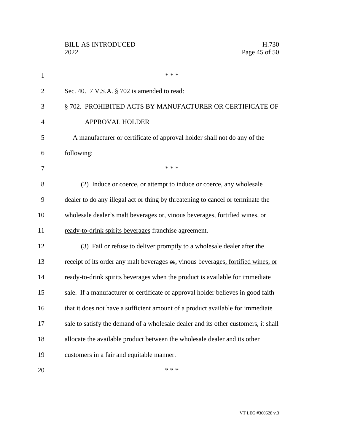| $\mathbf{1}$   | * * *                                                                              |
|----------------|------------------------------------------------------------------------------------|
| $\overline{2}$ | Sec. 40. 7 V.S.A. § 702 is amended to read:                                        |
| 3              | § 702. PROHIBITED ACTS BY MANUFACTURER OR CERTIFICATE OF                           |
| $\overline{4}$ | APPROVAL HOLDER                                                                    |
| 5              | A manufacturer or certificate of approval holder shall not do any of the           |
| 6              | following:                                                                         |
| 7              | * * *                                                                              |
| 8              | (2) Induce or coerce, or attempt to induce or coerce, any wholesale                |
| 9              | dealer to do any illegal act or thing by threatening to cancel or terminate the    |
| 10             | wholesale dealer's malt beverages or, vinous beverages, fortified wines, or        |
| 11             | ready-to-drink spirits beverages franchise agreement.                              |
| 12             | (3) Fail or refuse to deliver promptly to a wholesale dealer after the             |
| 13             | receipt of its order any malt beverages or, vinous beverages, fortified wines, or  |
| 14             | ready-to-drink spirits beverages when the product is available for immediate       |
| 15             | sale. If a manufacturer or certificate of approval holder believes in good faith   |
| 16             | that it does not have a sufficient amount of a product available for immediate     |
| 17             | sale to satisfy the demand of a wholesale dealer and its other customers, it shall |
| 18             | allocate the available product between the wholesale dealer and its other          |
| 19             | customers in a fair and equitable manner.                                          |
|                |                                                                                    |

 $***$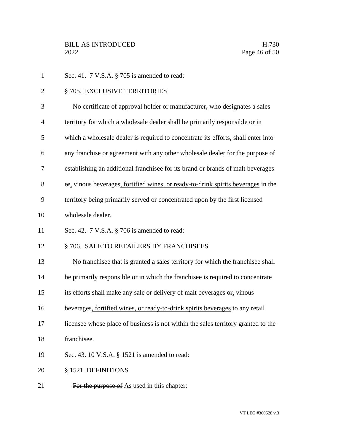- 1 Sec. 41. 7 V.S.A. § 705 is amended to read: 2 § 705. EXCLUSIVE TERRITORIES No certificate of approval holder or manufacturer, who designates a sales territory for which a wholesale dealer shall be primarily responsible or in which a wholesale dealer is required to concentrate its efforts, shall enter into any franchise or agreement with any other wholesale dealer for the purpose of establishing an additional franchisee for its brand or brands of malt beverages 8 or, vinous beverages, fortified wines, or ready-to-drink spirits beverages in the territory being primarily served or concentrated upon by the first licensed wholesale dealer. Sec. 42. 7 V.S.A. § 706 is amended to read: 12 § 706. SALE TO RETAILERS BY FRANCHISEES No franchisee that is granted a sales territory for which the franchisee shall be primarily responsible or in which the franchisee is required to concentrate 15 its efforts shall make any sale or delivery of malt beverages  $\Theta$ , vinous beverages, fortified wines, or ready-to-drink spirits beverages to any retail licensee whose place of business is not within the sales territory granted to the franchisee. Sec. 43. 10 V.S.A. § 1521 is amended to read: § 1521. DEFINITIONS
- 21 For the purpose of As used in this chapter: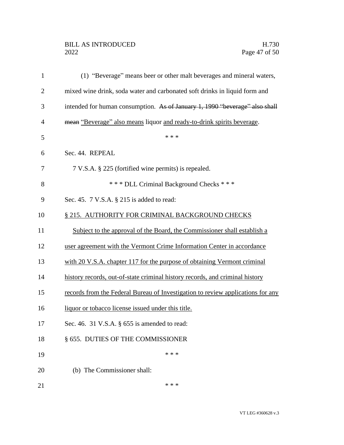## BILL AS INTRODUCED H.730<br>2022 Page 47 of 50

| $\mathbf{1}$   | (1) "Beverage" means beer or other malt beverages and mineral waters,           |
|----------------|---------------------------------------------------------------------------------|
| $\overline{2}$ | mixed wine drink, soda water and carbonated soft drinks in liquid form and      |
| 3              | intended for human consumption. As of January 1, 1990 "beverage" also shall     |
| $\overline{4}$ | mean "Beverage" also means liquor and ready-to-drink spirits beverage.          |
| 5              | * * *                                                                           |
| 6              | Sec. 44. REPEAL                                                                 |
| 7              | 7 V.S.A. § 225 (fortified wine permits) is repealed.                            |
| 8              | *** DLL Criminal Background Checks ***                                          |
| 9              | Sec. 45. 7 V.S.A. § 215 is added to read:                                       |
| 10             | § 215. AUTHORITY FOR CRIMINAL BACKGROUND CHECKS                                 |
| 11             | Subject to the approval of the Board, the Commissioner shall establish a        |
| 12             | user agreement with the Vermont Crime Information Center in accordance          |
| 13             | with 20 V.S.A. chapter 117 for the purpose of obtaining Vermont criminal        |
| 14             | history records, out-of-state criminal history records, and criminal history    |
| 15             | records from the Federal Bureau of Investigation to review applications for any |
| 16             | liquor or tobacco license issued under this title.                              |
| 17             | Sec. 46. 31 V.S.A. § 655 is amended to read:                                    |
| 18             | § 655. DUTIES OF THE COMMISSIONER                                               |
| 19             | * * *                                                                           |
| 20             | (b) The Commissioner shall:                                                     |
| 21             | * * *                                                                           |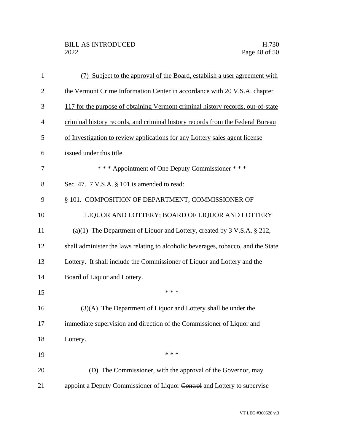| $\mathbf{1}$   | (7) Subject to the approval of the Board, establish a user agreement with            |
|----------------|--------------------------------------------------------------------------------------|
| $\overline{2}$ | the Vermont Crime Information Center in accordance with 20 V.S.A. chapter            |
| 3              | 117 for the purpose of obtaining Vermont criminal history records, out-of-state      |
| 4              | criminal history records, and criminal history records from the Federal Bureau       |
| 5              | of Investigation to review applications for any Lottery sales agent license          |
| 6              | issued under this title.                                                             |
| 7              | *** Appointment of One Deputy Commissioner ***                                       |
| 8              | Sec. 47. 7 V.S.A. § 101 is amended to read:                                          |
| 9              | § 101. COMPOSITION OF DEPARTMENT; COMMISSIONER OF                                    |
| 10             | LIQUOR AND LOTTERY; BOARD OF LIQUOR AND LOTTERY                                      |
| 11             | (a)(1) The Department of Liquor and Lottery, created by $3 \text{ V.S.A.} \$ $212$ , |
| 12             | shall administer the laws relating to alcoholic beverages, tobacco, and the State    |
| 13             | Lottery. It shall include the Commissioner of Liquor and Lottery and the             |
| 14             | Board of Liquor and Lottery.                                                         |
| 15             | * * *                                                                                |
| 16             | (3)(A) The Department of Liquor and Lottery shall be under the                       |
| 17             | immediate supervision and direction of the Commissioner of Liquor and                |
| 18             | Lottery.                                                                             |
| 19             | * * *                                                                                |
| 20             | (D) The Commissioner, with the approval of the Governor, may                         |
| 21             | appoint a Deputy Commissioner of Liquor Control and Lottery to supervise             |

VT LEG #360628 v.3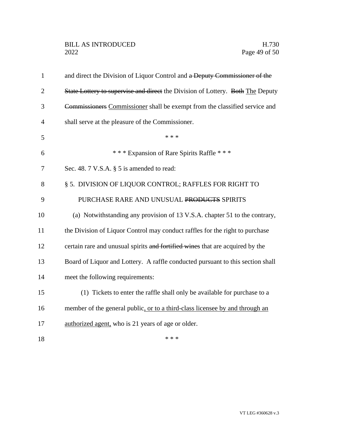| $\mathbf{1}$   | and direct the Division of Liquor Control and a Deputy Commissioner of the     |
|----------------|--------------------------------------------------------------------------------|
| $\overline{2}$ | State Lottery to supervise and direct the Division of Lottery. Both The Deputy |
| 3              | Commissioners Commissioner shall be exempt from the classified service and     |
| 4              | shall serve at the pleasure of the Commissioner.                               |
| 5              | * * *                                                                          |
| 6              | *** Expansion of Rare Spirits Raffle ***                                       |
| 7              | Sec. 48. 7 V.S.A. § 5 is amended to read:                                      |
| 8              | § 5. DIVISION OF LIQUOR CONTROL; RAFFLES FOR RIGHT TO                          |
| 9              | PURCHASE RARE AND UNUSUAL PRODUCTS SPIRITS                                     |
| 10             | (a) Notwithstanding any provision of 13 V.S.A. chapter 51 to the contrary,     |
| 11             | the Division of Liquor Control may conduct raffles for the right to purchase   |
| 12             | certain rare and unusual spirits and fortified wines that are acquired by the  |
| 13             | Board of Liquor and Lottery. A raffle conducted pursuant to this section shall |
| 14             | meet the following requirements:                                               |
| 15             | (1) Tickets to enter the raffle shall only be available for purchase to a      |
| 16             | member of the general public, or to a third-class licensee by and through an   |
| 17             | authorized agent, who is 21 years of age or older.                             |
| 18             | * * *                                                                          |